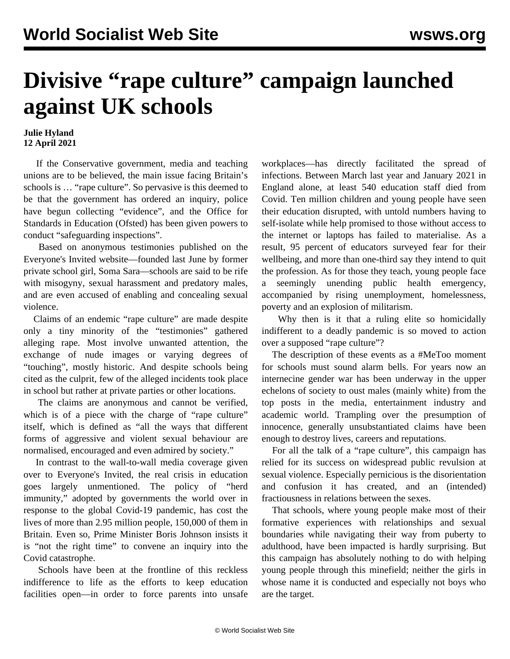## **Divisive "rape culture" campaign launched against UK schools**

## **Julie Hyland 12 April 2021**

 If the Conservative government, media and teaching unions are to be believed, the main issue facing Britain's schools is … "rape culture". So pervasive is this deemed to be that the government has ordered an inquiry, police have begun collecting "evidence", and the Office for Standards in Education (Ofsted) has been given powers to conduct "safeguarding inspections".

 Based on anonymous testimonies published on the Everyone's Invited website—founded last June by former private school girl, Soma Sara—schools are said to be rife with misogyny, sexual harassment and predatory males, and are even accused of enabling and concealing sexual violence.

 Claims of an endemic "rape culture" are made despite only a tiny minority of the "testimonies" gathered alleging rape. Most involve unwanted attention, the exchange of nude images or varying degrees of "touching", mostly historic. And despite schools being cited as the culprit, few of the alleged incidents took place in school but rather at private parties or other locations.

 The claims are anonymous and cannot be verified, which is of a piece with the charge of "rape culture" itself, which is defined as "all the ways that different forms of aggressive and violent sexual behaviour are normalised, encouraged and even admired by society."

 In contrast to the wall-to-wall media coverage given over to Everyone's Invited, the real crisis in education goes largely unmentioned. The policy of "herd immunity," adopted by governments the world over in response to the global Covid-19 pandemic, has cost the lives of more than 2.95 million people, 150,000 of them in Britain. Even so, Prime Minister Boris Johnson insists it is "not the right time" to convene an inquiry into the Covid catastrophe.

 Schools have been at the frontline of this reckless indifference to life as the efforts to keep education facilities open—in order to force parents into unsafe workplaces—has directly facilitated the spread of infections. Between March last year and January 2021 in England alone, at least 540 education staff died from Covid. Ten million children and young people have seen their education disrupted, with untold numbers having to self-isolate while help promised to those without access to the internet or laptops has failed to materialise. As a result, 95 percent of educators surveyed fear for their wellbeing, and more than one-third say they intend to quit the profession. As for those they teach, young people face a seemingly unending public health emergency, accompanied by rising unemployment, homelessness, poverty and an explosion of militarism.

Why then is it that a ruling elite so homicidally indifferent to a deadly pandemic is so moved to action over a supposed "rape culture"?

 The description of these events as a #MeToo moment for schools must sound alarm bells. For years now an internecine gender war has been underway in the upper echelons of society to oust males (mainly white) from the top posts in the media, entertainment industry and academic world. Trampling over the presumption of innocence, generally unsubstantiated claims have been enough to destroy lives, careers and reputations.

 For all the talk of a "rape culture", this campaign has relied for its success on widespread public revulsion at sexual violence. Especially pernicious is the disorientation and confusion it has created, and an (intended) fractiousness in relations between the sexes.

 That schools, where young people make most of their formative experiences with relationships and sexual boundaries while navigating their way from puberty to adulthood, have been impacted is hardly surprising. But this campaign has absolutely nothing to do with helping young people through this minefield; neither the girls in whose name it is conducted and especially not boys who are the target.